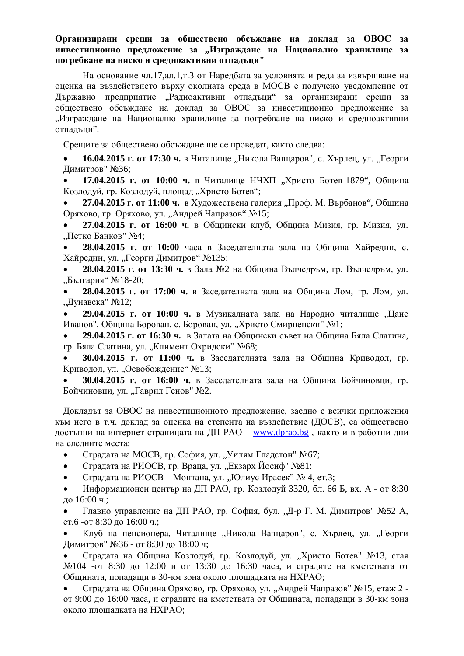## Организирани срещи за обществено обсъждане на доклад за ОВОС за **ИНВЕСТИЦИОННО ПРЕДЛОЖЕНИЕ ЗА "ИЗГРАЖДАНЕ НА НАЦИОНАЛНО ХРАНИЛИЩЕ ЗА** погребване на ниско и средноактивни отпадъци"

На основание чл.17, ал.1, т.3 от Наредбата за условията и реда за извършване на оценка на въздействието върху околната среда в МОСВ е получено уведомление от Държавно предприятие "Радиоактивни отпадъци" за организирани срещи за обществено обсъждане на доклад за ОВОС за инвестиционно предложение за "Изграждане на Национално хранилище за погребване на ниско и средноактивни отпадъци".

Срещите за обществено обсъждане ще се проведат, както следва:

**• 16.04.2015 г. от 17:30 ч.** в Читалище "Никола Вапцаров", с. Хърлец, ул. "Георги Димитров" №36;

17.04.2015 г. от 10:00 ч. в Читалище НЧХП "Христо Ботев-1879", Община Козлодуй, гр. Козлодуй, площад "Христо Ботев";

**27.04.2015 г. от 11:00 ч.** в Художествена галерия "Проф. М. Върбанов", Община Оряхово, гр. Оряхово, ул. "Андрей Чапразов" №15;

27.04.2015 г. от 16:00 ч. в Общински клуб, Община Мизия, гр. Мизия, ул. "Петко Банков" №4;

**28.04.2015 г. от 10:00 часа в Заселателната зала на Обшина Хайрелин. с.** Хайредин, ул. "Георги Димитров" №135;

**28.04.2015 г. от 13:30 ч.** в Зала №2 на Община Вълчедръм, гр. Вълчедръм, ул. "България" №18-20;

**28.04.2015 г. от 17:00 ч.** в Заседателната зала на Община Лом, гр. Лом, ул. "Дунавска" №12;

29.04.2015 **г. от 10:00 ч.** в Музикалната зала на Народно читалище "Цане Иванов", Община Борован, с. Борован, ул. "Христо Смирненски" №1;

29.04.2015 г. от 16:30 ч. в Залата на Общински съвет на Община Бяла Слатина. гр. Бяла Слатина, ул. "Климент Охридски" №68;

30.04.2015 **г. от 11:00 ч.** в Заседателната зала на Община Криводол, гр. Криводол, ул. "Освобождение" №13;

30.04.2015 г. от 16:00 ч. в Заседателната зала на Община Бойчиновци, гр. Бойчиновци, ул. "Гаврил Генов" №2.

Докладът за ОВОС на инвестиционното предложение, заедно с всички приложения към него в т.ч. доклад за оценка на степента на въздействие (ДОСВ), са обществено достъпни на интернет страницата на ДП РАО – www.dprao.bg, както и в работни дни на следните места:

• Сградата на МОСВ, гр. София, ул. "Уилям Гладстон" №67;

• Сградата на РИОСВ, гр. Враца, ул. "Екзарх Йосиф" №81:

• Сградата на РИОСВ – Монтана, ул. "Юлиус Ирасек" № 4, ет.3;

Информационен център на ДП РАО, гр. Козлодуй 3320, бл. 66 Б, вх. А - от 8:30 до 16:00 ч.:

Главно управление на ДП РАО, гр. София, бул. "Д-р Г. М. Димитров" №52 А, ет.6 -от 8:30 до 16:00 ч.;

Клуб на пенсионера, Читалише "Никола Вапцаров", с. Хърлец, ул. "Георги Димитров" №36 - от 8:30 до 18:00 ч;

Сгралата на Община Козлодуй, гр. Козлодуй, ул. "Христо Ботев" №13, стая №104 -от 8:30 до 12:00 и от 13:30 до 16:30 часа, и сградите на кметствата от Общината, попадащи в 30-км зона около площадката на НХРАО;

Сградата на Община Оряхово, гр. Оряхово, ул. "Андрей Чапразов" №15, етаж 2 от 9:00 до 16:00 часа, и сградите на кметствата от Общината, попадащи в 30-км зона около площадката на HXPAO;